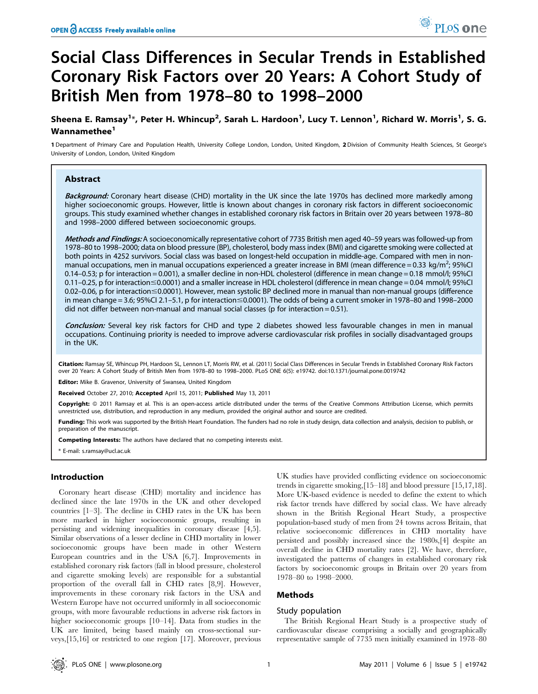# Social Class Differences in Secular Trends in Established Coronary Risk Factors over 20 Years: A Cohort Study of British Men from 1978–80 to 1998–2000

Sheena E. Ramsay<sup>1</sup>\*, Peter H. Whincup<sup>2</sup>, Sarah L. Hardoon<sup>1</sup>, Lucy T. Lennon<sup>1</sup>, Richard W. Morris<sup>1</sup>, S. G. Wannamethee<sup>1</sup>

1 Department of Primary Care and Population Health, University College London, London, United Kingdom, 2 Division of Community Health Sciences, St George's University of London, London, United Kingdom

# Abstract

Background: Coronary heart disease (CHD) mortality in the UK since the late 1970s has declined more markedly among higher socioeconomic groups. However, little is known about changes in coronary risk factors in different socioeconomic groups. This study examined whether changes in established coronary risk factors in Britain over 20 years between 1978–80 and 1998–2000 differed between socioeconomic groups.

Methods and Findings: A socioeconomically representative cohort of 7735 British men aged 40-59 years was followed-up from 1978–80 to 1998–2000; data on blood pressure (BP), cholesterol, body mass index (BMI) and cigarette smoking were collected at both points in 4252 survivors. Social class was based on longest-held occupation in middle-age. Compared with men in nonmanual occupations, men in manual occupations experienced a greater increase in BMI (mean difference = 0.33 kg/m<sup>2</sup>; 95%Cl 0.14–0.53; p for interaction = 0.001), a smaller decline in non-HDL cholesterol (difference in mean change = 0.18 mmol/l; 95%CI 0.11–0.25, p for interaction#0.0001) and a smaller increase in HDL cholesterol (difference in mean change = 0.04 mmol/l; 95%CI  $0.02$ –0.06, p for interaction  $\leq$ 0.0001). However, mean systolic BP declined more in manual than non-manual groups (difference in mean change = 3.6; 95%CI 2.1–5.1, p for interaction  $\leq$ 0.0001). The odds of being a current smoker in 1978–80 and 1998–2000 did not differ between non-manual and manual social classes (p for interaction =  $0.51$ ).

Conclusion: Several key risk factors for CHD and type 2 diabetes showed less favourable changes in men in manual occupations. Continuing priority is needed to improve adverse cardiovascular risk profiles in socially disadvantaged groups in the UK.

Citation: Ramsay SE, Whincup PH, Hardoon SL, Lennon LT, Morris RW, et al. (2011) Social Class Differences in Secular Trends in Established Coronary Risk Factors over 20 Years: A Cohort Study of British Men from 1978–80 to 1998–2000. PLoS ONE 6(5): e19742. doi:10.1371/journal.pone.0019742

Editor: Mike B. Gravenor, University of Swansea, United Kingdom

Received October 27, 2010; Accepted April 15, 2011; Published May 13, 2011

**Copyright:** © 2011 Ramsay et al. This is an open-access article distributed under the terms of the Creative Commons Attribution License, which permits unrestricted use, distribution, and reproduction in any medium, provided the original author and source are credited.

Funding: This work was supported by the British Heart Foundation. The funders had no role in study design, data collection and analysis, decision to publish, or preparation of the manuscript.

Competing Interests: The authors have declared that no competing interests exist.

\* E-mail: s.ramsay@ucl.ac.uk

# Introduction

Coronary heart disease (CHD) mortality and incidence has declined since the late 1970s in the UK and other developed countries [1–3]. The decline in CHD rates in the UK has been more marked in higher socioeconomic groups, resulting in persisting and widening inequalities in coronary disease [4,5]. Similar observations of a lesser decline in CHD mortality in lower socioeconomic groups have been made in other Western European countries and in the USA [6,7]. Improvements in established coronary risk factors (fall in blood pressure, cholesterol and cigarette smoking levels) are responsible for a substantial proportion of the overall fall in CHD rates [8,9]. However, improvements in these coronary risk factors in the USA and Western Europe have not occurred uniformly in all socioeconomic groups, with more favourable reductions in adverse risk factors in higher socioeconomic groups [10–14]. Data from studies in the UK are limited, being based mainly on cross-sectional surveys,[15,16] or restricted to one region [17]. Moreover, previous

UK studies have provided conflicting evidence on socioeconomic trends in cigarette smoking,[15–18] and blood pressure [15,17,18]. More UK-based evidence is needed to define the extent to which risk factor trends have differed by social class. We have already shown in the British Regional Heart Study, a prospective population-based study of men from 24 towns across Britain, that relative socioeconomic differences in CHD mortality have persisted and possibly increased since the 1980s,[4] despite an overall decline in CHD mortality rates [2]. We have, therefore, investigated the patterns of changes in established coronary risk factors by socioeconomic groups in Britain over 20 years from 1978–80 to 1998–2000.

# Methods

# Study population

The British Regional Heart Study is a prospective study of cardiovascular disease comprising a socially and geographically representative sample of 7735 men initially examined in 1978–80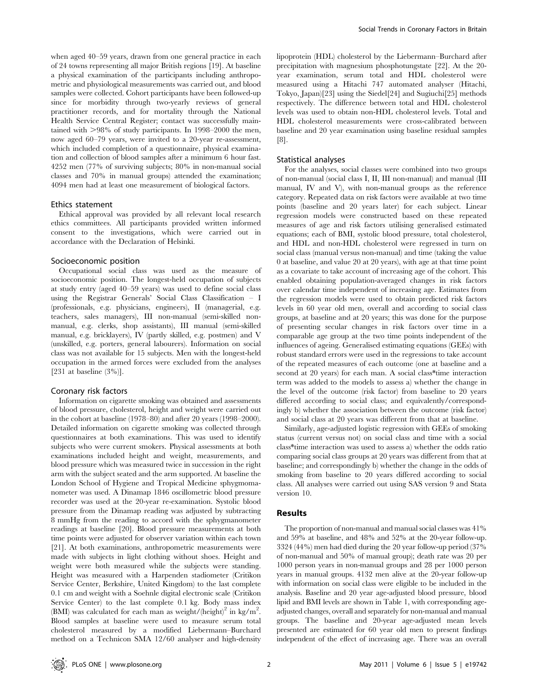when aged 40–59 years, drawn from one general practice in each of 24 towns representing all major British regions [19]. At baseline a physical examination of the participants including anthropometric and physiological measurements was carried out, and blood samples were collected. Cohort participants have been followed-up since for morbidity through two-yearly reviews of general practitioner records, and for mortality through the National Health Service Central Register; contact was successfully maintained with  $>98\%$  of study participants. In 1998–2000 the men, now aged 60–79 years, were invited to a 20-year re-assessment, which included completion of a questionnaire, physical examination and collection of blood samples after a minimum 6 hour fast. 4252 men (77% of surviving subjects; 80% in non-manual social classes and 70% in manual groups) attended the examination; 4094 men had at least one measurement of biological factors.

### Ethics statement

Ethical approval was provided by all relevant local research ethics committees. All participants provided written informed consent to the investigations, which were carried out in accordance with the Declaration of Helsinki.

#### Socioeconomic position

Occupational social class was used as the measure of socioeconomic position. The longest-held occupation of subjects at study entry (aged 40–59 years) was used to define social class using the Registrar Generals' Social Class Classification – I (professionals, e.g. physicians, engineers), II (managerial, e.g. teachers, sales managers), III non-manual (semi-skilled nonmanual, e.g. clerks, shop assistants), III manual (semi-skilled manual, e.g. bricklayers), IV (partly skilled, e.g. postmen) and V (unskilled, e.g. porters, general labourers). Information on social class was not available for 15 subjects. Men with the longest-held occupation in the armed forces were excluded from the analyses [231 at baseline  $(3\%)$ ].

## Coronary risk factors

Information on cigarette smoking was obtained and assessments of blood pressure, cholesterol, height and weight were carried out in the cohort at baseline (1978–80) and after 20 years (1998–2000). Detailed information on cigarette smoking was collected through questionnaires at both examinations. This was used to identify subjects who were current smokers. Physical assessments at both examinations included height and weight, measurements, and blood pressure which was measured twice in succession in the right arm with the subject seated and the arm supported. At baseline the London School of Hygiene and Tropical Medicine sphygmomanometer was used. A Dinamap 1846 oscillometric blood pressure recorder was used at the 20-year re-examination. Systolic blood pressure from the Dinamap reading was adjusted by subtracting 8 mmHg from the reading to accord with the sphygmanometer readings at baseline [20]. Blood pressure measurements at both time points were adjusted for observer variation within each town [21]. At both examinations, anthropometric measurements were made with subjects in light clothing without shoes. Height and weight were both measured while the subjects were standing. Height was measured with a Harpenden stadiometer (Critikon Service Center, Berkshire, United Kingdom) to the last complete 0.1 cm and weight with a Soehnle digital electronic scale (Critikon Service Center) to the last complete 0.1 kg. Body mass index (BMI) was calculated for each man as weight/(height)<sup>2</sup> in kg/m<sup>2</sup>. Blood samples at baseline were used to measure serum total cholesterol measured by a modified Liebermann–Burchard method on a Technicon SMA 12/60 analyser and high-density

lipoprotein (HDL) cholesterol by the Liebermann–Burchard after precipitation with magnesium phosphotungstate [22]. At the 20 year examination, serum total and HDL cholesterol were measured using a Hitachi 747 automated analyser (Hitachi, Tokyo, Japan)[23] using the Siedel[24] and Sugiuchi[25] methods respectively. The difference between total and HDL cholesterol levels was used to obtain non-HDL cholesterol levels. Total and HDL cholesterol measurements were cross-calibrated between baseline and 20 year examination using baseline residual samples [8].

#### Statistical analyses

For the analyses, social classes were combined into two groups of non-manual (social class I, II, III non-manual) and manual (III manual, IV and V), with non-manual groups as the reference category. Repeated data on risk factors were available at two time points (baseline and 20 years later) for each subject. Linear regression models were constructed based on these repeated measures of age and risk factors utilising generalised estimated equations; each of BMI, systolic blood pressure, total cholesterol, and HDL and non-HDL cholesterol were regressed in turn on social class (manual versus non-manual) and time (taking the value 0 at baseline, and value 20 at 20 years), with age at that time point as a covariate to take account of increasing age of the cohort. This enabled obtaining population-averaged changes in risk factors over calendar time independent of increasing age. Estimates from the regression models were used to obtain predicted risk factors levels in 60 year old men, overall and according to social class groups, at baseline and at 20 years; this was done for the purpose of presenting secular changes in risk factors over time in a comparable age group at the two time points independent of the influences of ageing. Generalised estimating equations (GEEs) with robust standard errors were used in the regressions to take account of the repeated measures of each outcome (one at baseline and a second at 20 years) for each man. A social class\*time interaction term was added to the models to assess a) whether the change in the level of the outcome (risk factor) from baseline to 20 years differed according to social class; and equivalently/correspondingly b) whether the association between the outcome (risk factor) and social class at 20 years was different from that at baseline.

Similarly, age-adjusted logistic regression with GEEs of smoking status (current versus not) on social class and time with a social class\*time interaction was used to assess a) whether the odds ratio comparing social class groups at 20 years was different from that at baseline; and correspondingly b) whether the change in the odds of smoking from baseline to 20 years differed according to social class. All analyses were carried out using SAS version 9 and Stata version 10.

## Results

The proportion of non-manual and manual social classes was 41% and 59% at baseline, and 48% and 52% at the 20-year follow-up. 3324 (44%) men had died during the 20 year follow-up period (37% of non-manual and 50% of manual group); death rate was 20 per 1000 person years in non-manual groups and 28 per 1000 person years in manual groups. 4132 men alive at the 20-year follow-up with information on social class were eligible to be included in the analysis. Baseline and 20 year age-adjusted blood pressure, blood lipid and BMI levels are shown in Table 1, with corresponding ageadjusted changes, overall and separately for non-manual and manual groups. The baseline and 20-year age-adjusted mean levels presented are estimated for 60 year old men to present findings independent of the effect of increasing age. There was an overall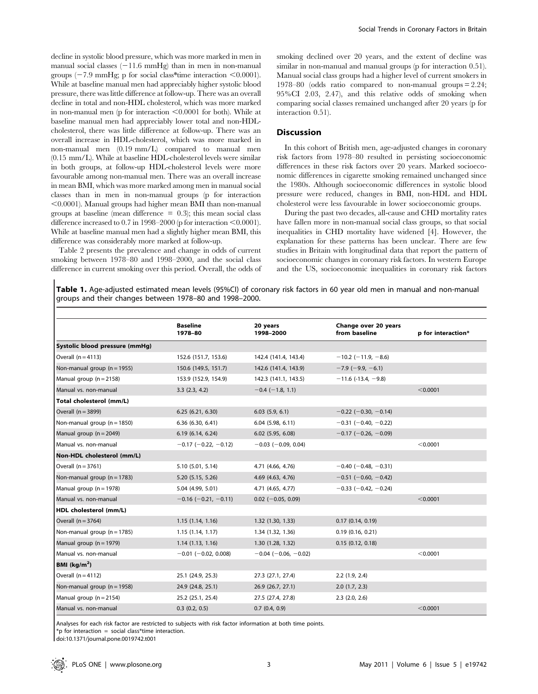decline in systolic blood pressure, which was more marked in men in manual social classes  $(-11.6 \text{ mmHg})$  than in men in non-manual groups  $(-7.9 \text{ mmHg}; \text{p}$  for social class\*time interaction <0.0001). While at baseline manual men had appreciably higher systolic blood pressure, there was little difference at follow-up. There was an overall decline in total and non-HDL cholesterol, which was more marked in non-manual men (p for interaction  $\leq 0.0001$  for both). While at baseline manual men had appreciably lower total and non-HDLcholesterol, there was little difference at follow-up. There was an overall increase in HDL-cholesterol, which was more marked in non-manual men (0.19 mm/L) compared to manual men (0.15 mm/L). While at baseline HDL-cholesterol levels were similar in both groups, at follow-up HDL-cholesterol levels were more favourable among non-manual men. There was an overall increase in mean BMI, which was more marked among men in manual social classes than in men in non-manual groups (p for interaction  $<$ 0.0001). Manual groups had higher mean BMI than non-manual groups at baseline (mean difference  $= 0.3$ ); this mean social class difference increased to  $0.7$  in 1998–2000 (p for interaction  $\leq 0.0001$ ). While at baseline manual men had a slightly higher mean BMI, this difference was considerably more marked at follow-up.

Table 2 presents the prevalence and change in odds of current smoking between 1978–80 and 1998–2000, and the social class difference in current smoking over this period. Overall, the odds of smoking declined over 20 years, and the extent of decline was similar in non-manual and manual groups (p for interaction 0.51). Manual social class groups had a higher level of current smokers in 1978–80 (odds ratio compared to non-manual groups = 2.24; 95%CI 2.03, 2.47), and this relative odds of smoking when comparing social classes remained unchanged after 20 years (p for interaction 0.51).

## Discussion

In this cohort of British men, age-adjusted changes in coronary risk factors from 1978–80 resulted in persisting socioeconomic differences in these risk factors over 20 years. Marked socioeconomic differences in cigarette smoking remained unchanged since the 1980s. Although socioeconomic differences in systolic blood pressure were reduced, changes in BMI, non-HDL and HDL cholesterol were less favourable in lower socioeconomic groups.

During the past two decades, all-cause and CHD mortality rates have fallen more in non-manual social class groups, so that social inequalities in CHD mortality have widened [4]. However, the explanation for these patterns has been unclear. There are few studies in Britain with longitudinal data that report the pattern of socioeconomic changes in coronary risk factors. In western Europe and the US, socioeconomic inequalities in coronary risk factors

Table 1. Age-adjusted estimated mean levels (95%CI) of coronary risk factors in 60 year old men in manual and non-manual groups and their changes between 1978–80 and 1998–2000.

|                                 | <b>Baseline</b><br>1978-80    | 20 years<br>1998-2000         | Change over 20 years<br>from baseline | p for interaction* |
|---------------------------------|-------------------------------|-------------------------------|---------------------------------------|--------------------|
| Systolic blood pressure (mmHg)  |                               |                               |                                       |                    |
| Overall $(n = 4113)$            | 152.6 (151.7, 153.6)          | 142.4 (141.4, 143.4)          | $-10.2$ (-11.9, -8.6)                 |                    |
| Non-manual group ( $n = 1955$ ) | 150.6 (149.5, 151.7)          | 142.6 (141.4, 143.9)          | $-7.9$ (-9.9, -6.1)                   |                    |
| Manual group $(n = 2158)$       | 153.9 (152.9, 154.9)          | 142.3 (141.1, 143.5)          | $-11.6$ (-13.4, -9.8)                 |                    |
| Manual vs. non-manual           | 3.3(2.3, 4.2)                 | $-0.4$ ( $-1.8$ , 1.1)        |                                       | < 0.0001           |
| Total cholesterol (mm/L)        |                               |                               |                                       |                    |
| Overall $(n = 3899)$            | 6.25(6.21, 6.30)              | 6.03(5.9, 6.1)                | $-0.22$ (-0.30, -0.14)                |                    |
| Non-manual group $(n = 1850)$   | 6.36(6.30, 6.41)              | $6.04$ $(5.98, 6.11)$         | $-0.31$ (-0.40, -0.22)                |                    |
| Manual group $(n = 2049)$       | 6.19(6.14, 6.24)              | $6.02$ (5.95, 6.08)           | $-0.17$ (-0.26, -0.09)                |                    |
| Manual vs. non-manual           | $-0.17$ (-0.22, -0.12)        | $-0.03$ ( $-0.09$ , 0.04)     |                                       | < 0.0001           |
| Non-HDL cholesterol (mm/L)      |                               |                               |                                       |                    |
| Overall $(n = 3761)$            | 5.10 (5.01, 5.14)             | 4.71 (4.66, 4.76)             | $-0.40$ (-0.48, -0.31)                |                    |
| Non-manual group $(n = 1783)$   | 5.20 (5.15, 5.26)             | 4.69 (4.63, 4.76)             | $-0.51$ (-0.60, -0.42)                |                    |
| Manual group $(n = 1978)$       | 5.04 (4.99, 5.01)             | 4.71 (4.65, 4.77)             | $-0.33$ (-0.42, -0.24)                |                    |
| Manual vs. non-manual           | $-0.16$ ( $-0.21$ , $-0.11$ ) | $0.02$ (-0.05, 0.09)          |                                       | < 0.0001           |
| HDL cholesterol (mm/L)          |                               |                               |                                       |                    |
| Overall $(n = 3764)$            | 1.15(1.14, 1.16)              | 1.32 (1.30, 1.33)             | 0.17(0.14, 0.19)                      |                    |
| Non-manual group $(n = 1785)$   | 1.15(1.14, 1.17)              | 1.34 (1.32, 1.36)             | 0.19(0.16, 0.21)                      |                    |
| Manual group $(n = 1979)$       | 1.14(1.13, 1.16)              | 1.30 (1.28, 1.32)             | 0.15(0.12, 0.18)                      |                    |
| Manual vs. non-manual           | $-0.01$ ( $-0.02$ , 0.008)    | $-0.04$ ( $-0.06$ , $-0.02$ ) |                                       | < 0.0001           |
| BMI ( $\text{kg/m}^2$ )         |                               |                               |                                       |                    |
| Overall $(n = 4112)$            | 25.1 (24.9, 25.3)             | 27.3 (27.1, 27.4)             | 2.2(1.9, 2.4)                         |                    |
| Non-manual group $(n = 1958)$   | 24.9 (24.8, 25.1)             | 26.9 (26.7, 27.1)             | 2.0(1.7, 2.3)                         |                    |
| Manual group $(n = 2154)$       | 25.2 (25.1, 25.4)             | 27.5 (27.4, 27.8)             | $2.3$ $(2.0, 2.6)$                    |                    |
| Manual vs. non-manual           | $0.3$ $(0.2, 0.5)$            | $0.7$ $(0.4, 0.9)$            |                                       | < 0.0001           |

Analyses for each risk factor are restricted to subjects with risk factor information at both time points.

 $*$ p for interaction = social class $*$ time interaction.

doi:10.1371/journal.pone.0019742.t001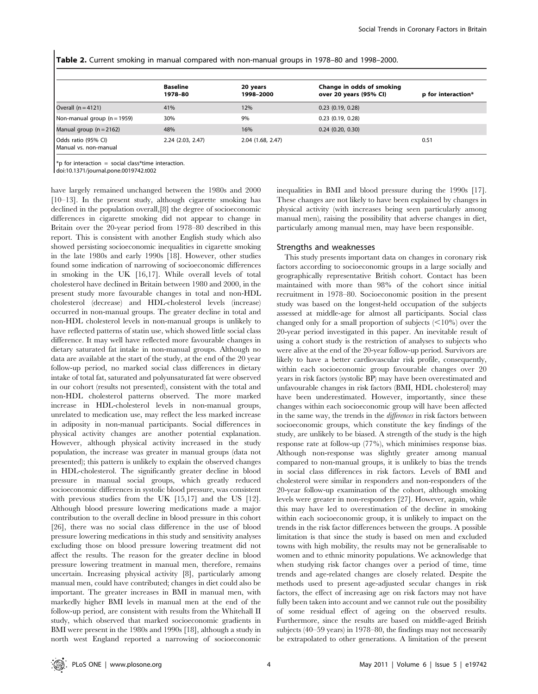|  |  |  |  |  |  | <b>Table 2.</b> Current smoking in manual compared with non-manual groups in 1978–80 and 1998–2000. |  |  |  |  |  |  |
|--|--|--|--|--|--|-----------------------------------------------------------------------------------------------------|--|--|--|--|--|--|
|--|--|--|--|--|--|-----------------------------------------------------------------------------------------------------|--|--|--|--|--|--|

|                               | <b>Baseline</b><br>1978-80 | 20 years<br>1998-2000 | Change in odds of smoking<br>over 20 years (95% CI) | p for interaction* |
|-------------------------------|----------------------------|-----------------------|-----------------------------------------------------|--------------------|
| Overall $(n = 4121)$          | 41%                        | 12%                   | $0.23$ (0.19, 0.28)                                 |                    |
| Non-manual group $(n = 1959)$ | 30%                        | 9%                    | $0.23$ (0.19, 0.28)                                 |                    |
| Manual group $(n = 2162)$     | 48%                        | 16%                   | $0.24$ (0.20, 0.30)                                 |                    |
| Odds ratio (95% CI)           | 2.24 (2.03, 2.47)          | 2.04 (1.68, 2.47)     |                                                     | 0.51               |

Manual vs. non-manual

\*p for interaction = social class\*time interaction.

doi:10.1371/journal.pone.0019742.t002

have largely remained unchanged between the 1980s and 2000 [10–13]. In the present study, although cigarette smoking has declined in the population overall,[8] the degree of socioeconomic differences in cigarette smoking did not appear to change in Britain over the 20-year period from 1978–80 described in this report. This is consistent with another English study which also showed persisting socioeconomic inequalities in cigarette smoking in the late 1980s and early 1990s [18]. However, other studies found some indication of narrowing of socioeconomic differences in smoking in the UK [16,17]. While overall levels of total cholesterol have declined in Britain between 1980 and 2000, in the present study more favourable changes in total and non-HDL cholesterol (decrease) and HDL-cholesterol levels (increase) occurred in non-manual groups. The greater decline in total and non-HDL cholesterol levels in non-manual groups is unlikely to have reflected patterns of statin use, which showed little social class difference. It may well have reflected more favourable changes in dietary saturated fat intake in non-manual groups. Although no data are available at the start of the study, at the end of the 20 year follow-up period, no marked social class differences in dietary intake of total fat, saturated and polyunsaturated fat were observed in our cohort (results not presented), consistent with the total and non-HDL cholesterol patterns observed. The more marked increase in HDL-cholesterol levels in non-manual groups, unrelated to medication use, may reflect the less marked increase in adiposity in non-manual participants. Social differences in physical activity changes are another potential explanation. However, although physical activity increased in the study population, the increase was greater in manual groups (data not presented); this pattern is unlikely to explain the observed changes in HDL-cholesterol. The significantly greater decline in blood pressure in manual social groups, which greatly reduced socioeconomic differences in systolic blood pressure, was consistent with previous studies from the UK [15,17] and the US [12]. Although blood pressure lowering medications made a major contribution to the overall decline in blood pressure in this cohort [26], there was no social class difference in the use of blood pressure lowering medications in this study and sensitivity analyses excluding those on blood pressure lowering treatment did not affect the results. The reason for the greater decline in blood pressure lowering treatment in manual men, therefore, remains uncertain. Increasing physical activity [8], particularly among manual men, could have contributed; changes in diet could also be important. The greater increases in BMI in manual men, with markedly higher BMI levels in manual men at the end of the follow-up period, are consistent with results from the Whitehall II study, which observed that marked socioeconomic gradients in BMI were present in the 1980s and 1990s [18], although a study in north west England reported a narrowing of socioeconomic inequalities in BMI and blood pressure during the 1990s [17]. These changes are not likely to have been explained by changes in physical activity (with increases being seen particularly among manual men), raising the possibility that adverse changes in diet, particularly among manual men, may have been responsible.

## Strengths and weaknesses

This study presents important data on changes in coronary risk factors according to socioeconomic groups in a large socially and geographically representative British cohort. Contact has been maintained with more than 98% of the cohort since initial recruitment in 1978–80. Socioeconomic position in the present study was based on the longest-held occupation of the subjects assessed at middle-age for almost all participants. Social class changed only for a small proportion of subjects  $\left($ <10%) over the 20-year period investigated in this paper. An inevitable result of using a cohort study is the restriction of analyses to subjects who were alive at the end of the 20-year follow-up period. Survivors are likely to have a better cardiovascular risk profile, consequently, within each socioeconomic group favourable changes over 20 years in risk factors (systolic BP) may have been overestimated and unfavourable changes in risk factors (BMI, HDL cholesterol) may have been underestimated. However, importantly, since these changes within each socioeconomic group will have been affected in the same way, the trends in the differences in risk factors between socioeconomic groups, which constitute the key findings of the study, are unlikely to be biased. A strength of the study is the high response rate at follow-up (77%), which minimises response bias. Although non-response was slightly greater among manual compared to non-manual groups, it is unlikely to bias the trends in social class differences in risk factors. Levels of BMI and cholesterol were similar in responders and non-responders of the 20-year follow-up examination of the cohort, although smoking levels were greater in non-responders [27]. However, again, while this may have led to overestimation of the decline in smoking within each socioeconomic group, it is unlikely to impact on the trends in the risk factor differences between the groups. A possible limitation is that since the study is based on men and excluded towns with high mobility, the results may not be generalisable to women and to ethnic minority populations. We acknowledge that when studying risk factor changes over a period of time, time trends and age-related changes are closely related. Despite the methods used to present age-adjusted secular changes in risk factors, the effect of increasing age on risk factors may not have fully been taken into account and we cannot rule out the possibility of some residual effect of ageing on the observed results. Furthermore, since the results are based on middle-aged British subjects (40–59 years) in 1978–80, the findings may not necessarily be extrapolated to other generations. A limitation of the present